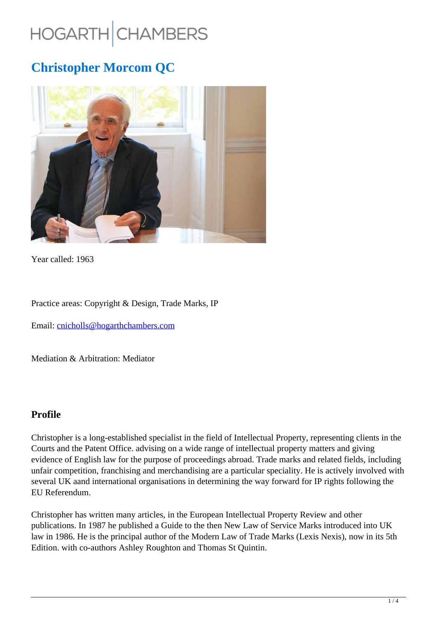# HOGARTH CHAMBERS

# **Christopher Morcom QC**



Year called: 1963

Practice areas: Copyright & Design, Trade Marks, IP

Email: cnicholls@hogarthchambers.com

Mediation & Arbitration: Mediator

#### **Profile**

Christopher is a long-established specialist in the field of Intellectual Property, representing clients in the Courts and the Patent Office. advising on a wide range of intellectual property matters and giving evidence of English law for the purpose of proceedings abroad. Trade marks and related fields, including unfair competition, franchising and merchandising are a particular speciality. He is actively involved with several UK aand international organisations in determining the way forward for IP rights following the EU Referendum.

Christopher has written many articles, in the European Intellectual Property Review and other publications. In 1987 he published a Guide to the then New Law of Service Marks introduced into UK law in 1986. He is the principal author of the Modern Law of Trade Marks (Lexis Nexis), now in its 5th Edition. with co-authors Ashley Roughton and Thomas St Quintin.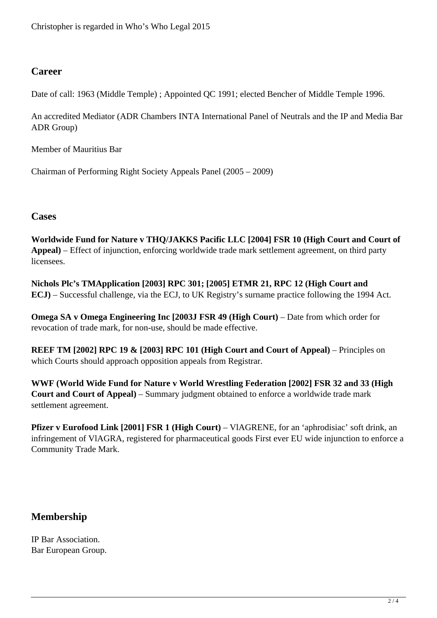### **Career**

Date of call: 1963 (Middle Temple) ; Appointed QC 1991; elected Bencher of Middle Temple 1996.

An accredited Mediator (ADR Chambers INTA International Panel of Neutrals and the IP and Media Bar ADR Group)

Member of Mauritius Bar

Chairman of Performing Right Society Appeals Panel (2005 – 2009)

#### **Cases**

**Worldwide Fund for Nature v THQ/JAKKS Pacific LLC [2004] FSR 10 (High Court and Court of Appeal)** – Effect of injunction, enforcing worldwide trade mark settlement agreement, on third party licensees.

**Nichols Plc's TMApplication [2003] RPC 301; [2005] ETMR 21, RPC 12 (High Court and ECJ)** – Successful challenge, via the ECJ, to UK Registry's surname practice following the 1994 Act.

**Omega SA v Omega Engineering Inc [2003J FSR 49 (High Court)** – Date from which order for revocation of trade mark, for non-use, should be made effective.

**REEF TM [2002] RPC 19 & [2003] RPC 101 (High Court and Court of Appeal)** – Principles on which Courts should approach opposition appeals from Registrar.

**WWF (World Wide Fund for Nature v World Wrestling Federation [2002] FSR 32 and 33 (High Court and Court of Appeal)** – Summary judgment obtained to enforce a worldwide trade mark settlement agreement.

**Pfizer v Eurofood Link [2001] FSR 1 (High Court) – VIAGRENE, for an 'aphrodisiac' soft drink, an** infringement of VlAGRA, registered for pharmaceutical goods First ever EU wide injunction to enforce a Community Trade Mark.

# **Membership**

IP Bar Association. Bar European Group.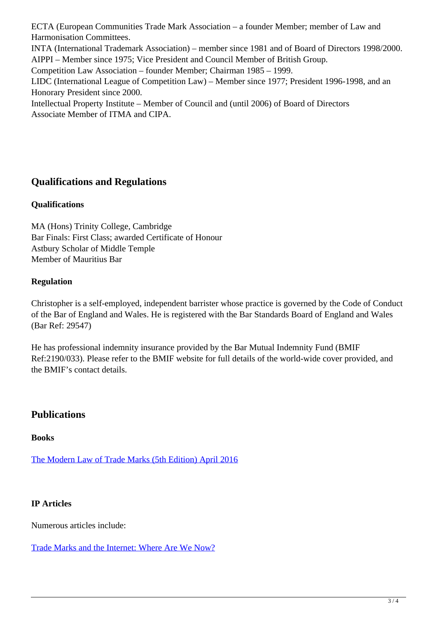ECTA (European Communities Trade Mark Association – a founder Member; member of Law and Harmonisation Committees.

INTA (International Trademark Association) – member since 1981 and of Board of Directors 1998/2000. AIPPI – Member since 1975; Vice President and Council Member of British Group.

Competition Law Association – founder Member; Chairman 1985 – 1999.

LIDC (International League of Competition Law) – Member since 1977; President 1996-1998, and an Honorary President since 2000.

Intellectual Property Institute – Member of Council and (until 2006) of Board of Directors Associate Member of ITMA and CIPA.

# **Qualifications and Regulations**

#### **Qualifications**

MA (Hons) Trinity College, Cambridge Bar Finals: First Class; awarded Certificate of Honour Astbury Scholar of Middle Temple Member of Mauritius Bar

#### **Regulation**

Christopher is a self-employed, independent barrister whose practice is governed by the Code of Conduct of the Bar of England and Wales. He is registered with the Bar Standards Board of England and Wales (Bar Ref: 29547)

He has professional indemnity insurance provided by the Bar Mutual Indemnity Fund (BMIF Ref:2190/033). Please refer to the BMIF website for full details of the world-wide cover provided, and the BMIF's contact details.

# **Publications**

#### **Books**

The Modern Law of Trade Marks (5th Edition) April 2016

#### **IP Articles**

Numerous articles include:

Trade Marks and the Internet: Where Are We Now?